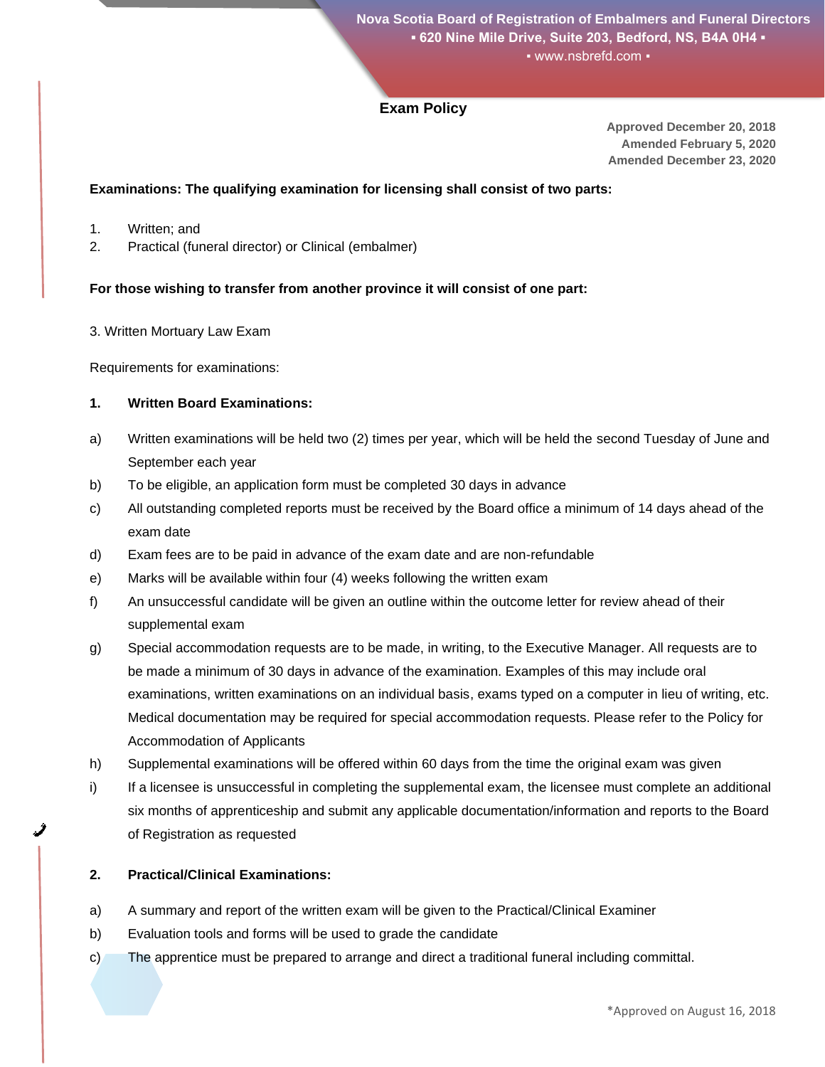# **Exam Policy**

**Approved December 20, 2018 Amended February 5, 2020 Amended December 23, 2020**

### **Examinations: The qualifying examination for licensing shall consist of two parts:**

- 1. Written; and
- 2. Practical (funeral director) or Clinical (embalmer)

### **For those wishing to transfer from another province it will consist of one part:**

3. Written Mortuary Law Exam

Requirements for examinations:

### **1. Written Board Examinations:**

- a) Written examinations will be held two (2) times per year, which will be held the second Tuesday of June and September each year
- b) To be eligible, an application form must be completed 30 days in advance
- c) All outstanding completed reports must be received by the Board office a minimum of 14 days ahead of the exam date
- d) Exam fees are to be paid in advance of the exam date and are non-refundable
- e) Marks will be available within four (4) weeks following the written exam
- f) An unsuccessful candidate will be given an outline within the outcome letter for review ahead of their supplemental exam
- g) Special accommodation requests are to be made, in writing, to the Executive Manager. All requests are to be made a minimum of 30 days in advance of the examination. Examples of this may include oral examinations, written examinations on an individual basis, exams typed on a computer in lieu of writing, etc. Medical documentation may be required for special accommodation requests. Please refer to the Policy for Accommodation of Applicants
- h) Supplemental examinations will be offered within 60 days from the time the original exam was given
- i) If a licensee is unsuccessful in completing the supplemental exam, the licensee must complete an additional six months of apprenticeship and submit any applicable documentation/information and reports to the Board of Registration as requested

# **2. Practical/Clinical Examinations:**

- a) A summary and report of the written exam will be given to the Practical/Clinical Examiner
- b) Evaluation tools and forms will be used to grade the candidate
- c) The apprentice must be prepared to arrange and direct a traditional funeral including committal.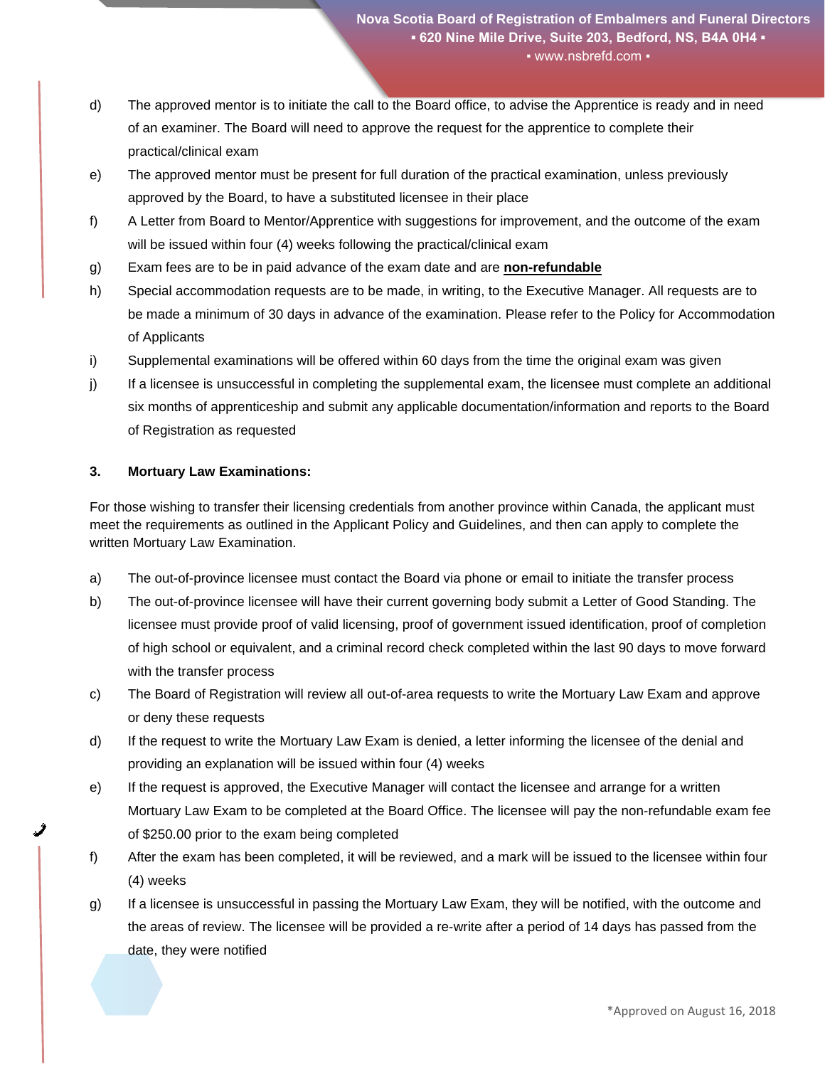- d) The approved mentor is to initiate the call to the Board office, to advise the Apprentice is ready and in need of an examiner. The Board will need to approve the request for the apprentice to complete their practical/clinical exam
- e) The approved mentor must be present for full duration of the practical examination, unless previously approved by the Board, to have a substituted licensee in their place
- f) A Letter from Board to Mentor/Apprentice with suggestions for improvement, and the outcome of the exam will be issued within four (4) weeks following the practical/clinical exam
- g) Exam fees are to be in paid advance of the exam date and are **non-refundable**
- h) Special accommodation requests are to be made, in writing, to the Executive Manager. All requests are to be made a minimum of 30 days in advance of the examination. Please refer to the Policy for Accommodation of Applicants
- i) Supplemental examinations will be offered within 60 days from the time the original exam was given
- j) If a licensee is unsuccessful in completing the supplemental exam, the licensee must complete an additional six months of apprenticeship and submit any applicable documentation/information and reports to the Board of Registration as requested

# **3. Mortuary Law Examinations:**

For those wishing to transfer their licensing credentials from another province within Canada, the applicant must meet the requirements as outlined in the Applicant Policy and Guidelines, and then can apply to complete the written Mortuary Law Examination.

- a) The out-of-province licensee must contact the Board via phone or email to initiate the transfer process
- b) The out-of-province licensee will have their current governing body submit a Letter of Good Standing. The licensee must provide proof of valid licensing, proof of government issued identification, proof of completion of high school or equivalent, and a criminal record check completed within the last 90 days to move forward with the transfer process
- c) The Board of Registration will review all out-of-area requests to write the Mortuary Law Exam and approve or deny these requests
- d) If the request to write the Mortuary Law Exam is denied, a letter informing the licensee of the denial and providing an explanation will be issued within four (4) weeks
- e) If the request is approved, the Executive Manager will contact the licensee and arrange for a written Mortuary Law Exam to be completed at the Board Office. The licensee will pay the non-refundable exam fee of \$250.00 prior to the exam being completed
- f) After the exam has been completed, it will be reviewed, and a mark will be issued to the licensee within four (4) weeks
- g) If a licensee is unsuccessful in passing the Mortuary Law Exam, they will be notified, with the outcome and the areas of review. The licensee will be provided a re-write after a period of 14 days has passed from the date, they were notified